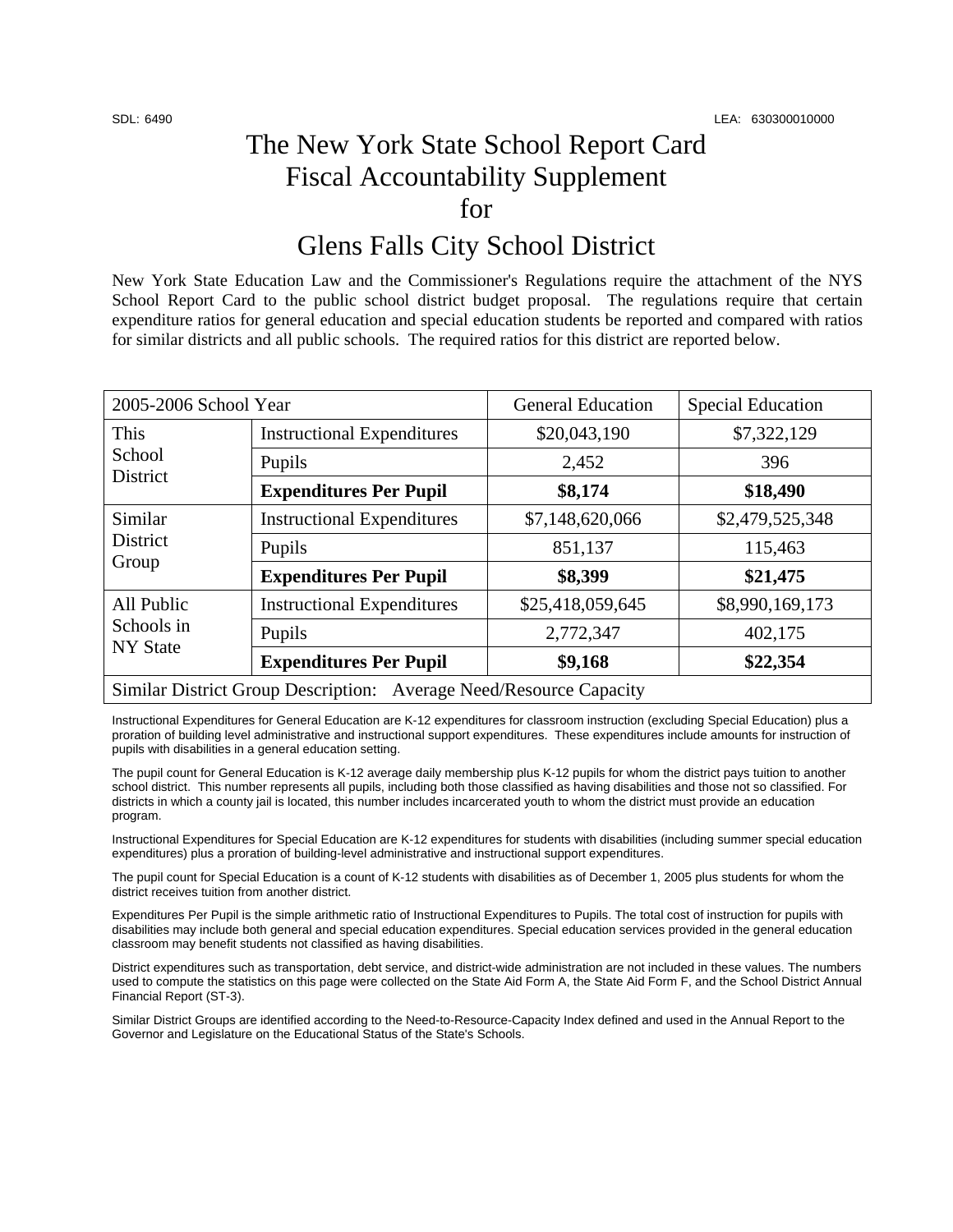## The New York State School Report Card Fiscal Accountability Supplement for

## Glens Falls City School District

New York State Education Law and the Commissioner's Regulations require the attachment of the NYS School Report Card to the public school district budget proposal. The regulations require that certain expenditure ratios for general education and special education students be reported and compared with ratios for similar districts and all public schools. The required ratios for this district are reported below.

| 2005-2006 School Year                                              |                                   | <b>General Education</b> | <b>Special Education</b> |  |
|--------------------------------------------------------------------|-----------------------------------|--------------------------|--------------------------|--|
| This<br>School<br><b>District</b>                                  | <b>Instructional Expenditures</b> | \$20,043,190             | \$7,322,129              |  |
|                                                                    | Pupils                            | 2,452                    | 396                      |  |
|                                                                    | <b>Expenditures Per Pupil</b>     | \$8,174                  | \$18,490                 |  |
| Similar<br>District<br>Group                                       | <b>Instructional Expenditures</b> | \$7,148,620,066          | \$2,479,525,348          |  |
|                                                                    | Pupils                            | 851,137                  | 115,463                  |  |
|                                                                    | <b>Expenditures Per Pupil</b>     | \$8,399                  | \$21,475                 |  |
| All Public<br>Schools in<br><b>NY State</b>                        | <b>Instructional Expenditures</b> | \$25,418,059,645         | \$8,990,169,173          |  |
|                                                                    | Pupils                            | 2,772,347                | 402,175                  |  |
|                                                                    | <b>Expenditures Per Pupil</b>     | \$9,168                  | \$22,354                 |  |
| Similar District Group Description: Average Need/Resource Capacity |                                   |                          |                          |  |

Instructional Expenditures for General Education are K-12 expenditures for classroom instruction (excluding Special Education) plus a proration of building level administrative and instructional support expenditures. These expenditures include amounts for instruction of pupils with disabilities in a general education setting.

The pupil count for General Education is K-12 average daily membership plus K-12 pupils for whom the district pays tuition to another school district. This number represents all pupils, including both those classified as having disabilities and those not so classified. For districts in which a county jail is located, this number includes incarcerated youth to whom the district must provide an education program.

Instructional Expenditures for Special Education are K-12 expenditures for students with disabilities (including summer special education expenditures) plus a proration of building-level administrative and instructional support expenditures.

The pupil count for Special Education is a count of K-12 students with disabilities as of December 1, 2005 plus students for whom the district receives tuition from another district.

Expenditures Per Pupil is the simple arithmetic ratio of Instructional Expenditures to Pupils. The total cost of instruction for pupils with disabilities may include both general and special education expenditures. Special education services provided in the general education classroom may benefit students not classified as having disabilities.

District expenditures such as transportation, debt service, and district-wide administration are not included in these values. The numbers used to compute the statistics on this page were collected on the State Aid Form A, the State Aid Form F, and the School District Annual Financial Report (ST-3).

Similar District Groups are identified according to the Need-to-Resource-Capacity Index defined and used in the Annual Report to the Governor and Legislature on the Educational Status of the State's Schools.